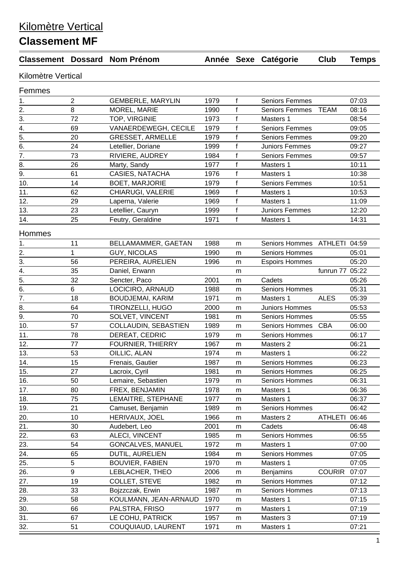## Kilomètre Vertical

## **Classement MF**

|                           |                | <b>Classement Dossard Nom Prénom</b> |      |              | Année Sexe Catégorie  | Club            | <b>Temps</b> |  |  |  |  |  |
|---------------------------|----------------|--------------------------------------|------|--------------|-----------------------|-----------------|--------------|--|--|--|--|--|
| <b>Kilomètre Vertical</b> |                |                                      |      |              |                       |                 |              |  |  |  |  |  |
| Femmes                    |                |                                      |      |              |                       |                 |              |  |  |  |  |  |
| 1.                        | $\overline{2}$ | <b>GEMBERLE, MARYLIN</b>             | 1979 | $\mathsf{f}$ | <b>Seniors Femmes</b> |                 | 07:03        |  |  |  |  |  |
| 2.                        | 8              | <b>MOREL, MARIE</b>                  | 1990 | $\mathsf{f}$ | <b>Seniors Femmes</b> | <b>TEAM</b>     | 08:16        |  |  |  |  |  |
| 3.                        | 72             | TOP, VIRGINIE                        | 1973 | f            | Masters 1             |                 | 08:54        |  |  |  |  |  |
| 4.                        | 69             | VANAERDEWEGH, CECILE                 | 1979 | f            | <b>Seniors Femmes</b> |                 | 09:05        |  |  |  |  |  |
| 5.                        | 20             | <b>GRESSET, ARMELLE</b>              | 1979 | f            | <b>Seniors Femmes</b> |                 | 09:20        |  |  |  |  |  |
| 6.                        | 24             | Letellier, Doriane                   | 1999 | f            | Juniors Femmes        |                 | 09:27        |  |  |  |  |  |
| $\overline{7}$ .          | 73             | RIVIERE, AUDREY                      | 1984 | f            | <b>Seniors Femmes</b> |                 | 09:57        |  |  |  |  |  |
| 8.                        | 26             | Marty, Sandy                         | 1977 | f            | Masters 1             |                 | 10:11        |  |  |  |  |  |
| 9.                        | 61             | CASIES, NATACHA                      | 1976 | f            | Masters 1             |                 | 10:38        |  |  |  |  |  |
| 10.                       | 14             | <b>BOET, MARJORIE</b>                | 1979 | $\mathsf{f}$ | <b>Seniors Femmes</b> |                 | 10:51        |  |  |  |  |  |
| 11.                       | 62             | CHIARUGI, VALERIE                    | 1969 | f            | Masters 1             |                 | 10:53        |  |  |  |  |  |
| 12.                       | 29             | Laperna, Valerie                     | 1969 | $\mathsf{f}$ | Masters 1             |                 | 11:09        |  |  |  |  |  |
| 13.                       | 23             | Letellier, Cauryn                    | 1999 | $\mathsf{f}$ | <b>Juniors Femmes</b> |                 | 12:20        |  |  |  |  |  |
| 14.                       | 25             | Feutry, Geraldine                    | 1971 | f            | Masters 1             |                 | 14:31        |  |  |  |  |  |
| Hommes                    |                |                                      |      |              |                       |                 |              |  |  |  |  |  |
| 1.                        | 11             | BELLAMAMMER, GAETAN                  | 1988 | m            | Seniors Hommes        | ATHLETI 04:59   |              |  |  |  |  |  |
| 2.                        | 1              | <b>GUY, NICOLAS</b>                  | 1990 | m            | <b>Seniors Hommes</b> |                 | 05:01        |  |  |  |  |  |
| 3.                        | 56             | PEREIRA, AURELIEN                    | 1996 | m            | <b>Espoirs Hommes</b> |                 | 05:20        |  |  |  |  |  |
| 4.                        | 35             | Daniel, Erwann                       |      | m            |                       | funrun 77 05:22 |              |  |  |  |  |  |
| 5.                        | 32             | Sencter, Paco                        | 2001 | m            | Cadets                |                 | 05:26        |  |  |  |  |  |
| 6.                        | 6              | LOCICIRO, ARNAUD                     | 1988 | m            | Seniors Hommes        |                 | 05:31        |  |  |  |  |  |
| $\overline{7}$ .          | 18             | <b>BOUDJEMAI, KARIM</b>              | 1971 | m            | Masters 1             | <b>ALES</b>     | 05:39        |  |  |  |  |  |
| 8.                        | 64             | <b>TIRONZELLI, HUGO</b>              | 2000 | m            | <b>Juniors Hommes</b> |                 | 05:53        |  |  |  |  |  |
| 9.                        | 70             | SOLVET, VINCENT                      | 1981 | m            | <b>Seniors Hommes</b> |                 | 05:55        |  |  |  |  |  |
| 10.                       | 57             | COLLAUDIN, SEBASTIEN                 | 1989 | m            | <b>Seniors Hommes</b> | <b>CBA</b>      | 06:00        |  |  |  |  |  |
| 11.                       | 78             | DEREAT, CEDRIC                       | 1979 | m            | <b>Seniors Hommes</b> |                 | 06:17        |  |  |  |  |  |
| 12.                       | 77             | FOURNIER, THIERRY                    | 1967 | m            | Masters 2             |                 | 06:21        |  |  |  |  |  |
| 13.                       | 53             | OILLIC, ALAN                         | 1974 | m            | Masters 1             |                 | 06:22        |  |  |  |  |  |
| 14.                       | 15             | Frenais, Gautier                     | 1987 | m            | <b>Seniors Hommes</b> |                 | 06:23        |  |  |  |  |  |
| 15.                       | 27             | Lacroix, Cyril                       | 1981 | m            | <b>Seniors Hommes</b> |                 | 06:25        |  |  |  |  |  |
| 16.                       | 50             | Lemaire, Sebastien                   | 1979 | m            | <b>Seniors Hommes</b> |                 | 06:31        |  |  |  |  |  |
| 17.                       | 80             | FREX, BENJAMIN                       | 1978 | m            | Masters 1             |                 | 06:36        |  |  |  |  |  |
| 18.                       | 75             | LEMAITRE, STEPHANE                   | 1977 | m            | Masters 1             |                 | 06:37        |  |  |  |  |  |
| 19.                       | 21             | Camuset, Benjamin                    | 1989 | m            | <b>Seniors Hommes</b> |                 | 06:42        |  |  |  |  |  |
| 20.                       | 10             | HERIVAUX, JOEL                       | 1966 | m            | Masters 2             | <b>ATHLETI</b>  | 06:46        |  |  |  |  |  |
| 21.                       | 30             | Audebert, Leo                        | 2001 | m            | Cadets                |                 | 06:48        |  |  |  |  |  |
| 22.                       | 63             | <b>ALECI, VINCENT</b>                | 1985 | m            | <b>Seniors Hommes</b> |                 | 06:55        |  |  |  |  |  |
| 23.                       | 54             | GONCALVES, MANUEL                    | 1972 | m            | Masters 1             |                 | 07:00        |  |  |  |  |  |
| 24.                       | 65             | DUTIL, AURELIEN                      | 1984 | m            | Seniors Hommes        |                 | 07:05        |  |  |  |  |  |
| 25.                       | 5              | <b>BOUVIER, FABIEN</b>               | 1970 | m            | Masters 1             |                 | 07:05        |  |  |  |  |  |
| 26.                       | 9              | LEBLACHER, THEO                      | 2006 | m            | <b>Benjamins</b>      | <b>COURIR</b>   | 07:07        |  |  |  |  |  |
| 27.                       | 19             | <b>COLLET, STEVE</b>                 | 1982 | m            | <b>Seniors Hommes</b> |                 | 07:12        |  |  |  |  |  |
| 28.                       | 33             | Bojzzczak, Erwin                     | 1987 | m            | <b>Seniors Hommes</b> |                 | 07:13        |  |  |  |  |  |
| 29.                       | 58             | KOULMANN, JEAN-ARNAUD                | 1970 | m            | Masters 1             |                 | 07:15        |  |  |  |  |  |
| 30.                       | 66             | PALSTRA, FRISO                       | 1977 | m            | Masters 1             |                 | 07:19        |  |  |  |  |  |
| 31.                       | 67             | LE COHU, PATRICK                     | 1957 | m            | Masters 3             |                 | 07:19        |  |  |  |  |  |
| 32.                       | 51             | COUQUIAUD, LAURENT                   | 1971 | m            | Masters 1             |                 | 07:21        |  |  |  |  |  |